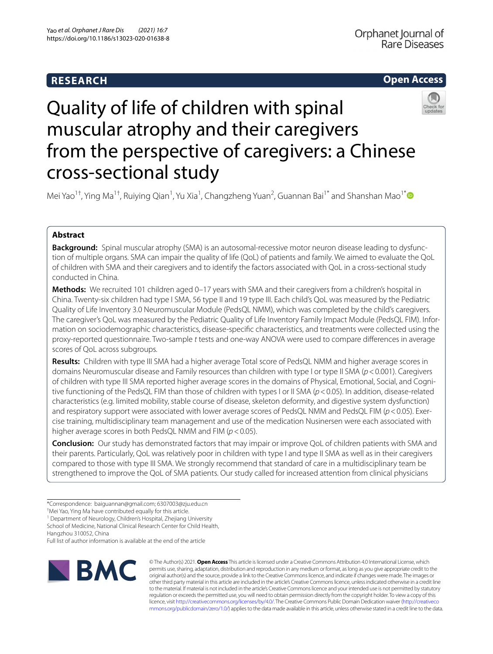# **RESEARCH**

# **Open Access**



# Quality of life of children with spinal muscular atrophy and their caregivers from the perspective of caregivers: a Chinese cross-sectional study

Mei Yao<sup>1+</sup>, Ying Ma<sup>1+</sup>, Ruiying Qian<sup>1</sup>, Yu Xia<sup>1</sup>, Changzheng Yuan<sup>2</sup>, Guannan Bai<sup>1[\\*](http://orcid.org/0000-0001-6736-1407)</sup> and Shanshan Mao<sup>1\*</sup>

# **Abstract**

**Background:** Spinal muscular atrophy (SMA) is an autosomal-recessive motor neuron disease leading to dysfunction of multiple organs. SMA can impair the quality of life (QoL) of patients and family. We aimed to evaluate the QoL of children with SMA and their caregivers and to identify the factors associated with QoL in a cross-sectional study conducted in China.

**Methods:** We recruited 101 children aged 0–17 years with SMA and their caregivers from a children's hospital in China. Twenty-six children had type I SMA, 56 type II and 19 type III. Each child's QoL was measured by the Pediatric Quality of Life Inventory 3.0 Neuromuscular Module (PedsQL NMM), which was completed by the child's caregivers. The caregiver's QoL was measured by the Pediatric Quality of Life Inventory Family Impact Module (PedsQL FIM). Information on sociodemographic characteristics, disease-specifc characteristics, and treatments were collected using the proxy-reported questionnaire. Two-sample *t* tests and one-way ANOVA were used to compare diferences in average scores of QoL across subgroups.

**Results:** Children with type III SMA had a higher average Total score of PedsQL NMM and higher average scores in domains Neuromuscular disease and Family resources than children with type I or type II SMA (*p*<0.001). Caregivers of children with type III SMA reported higher average scores in the domains of Physical, Emotional, Social, and Cognitive functioning of the PedsQL FIM than those of children with types I or II SMA (*p*<0.05). In addition, disease-related characteristics (e.g. limited mobility, stable course of disease, skeleton deformity, and digestive system dysfunction) and respiratory support were associated with lower average scores of PedsQL NMM and PedsQL FIM (*p*<0.05). Exercise training, multidisciplinary team management and use of the medication Nusinersen were each associated with higher average scores in both PedsQL NMM and FIM (*p*<0.05).

**Conclusion:** Our study has demonstrated factors that may impair or improve QoL of children patients with SMA and their parents. Particularly, QoL was relatively poor in children with type I and type II SMA as well as in their caregivers compared to those with type III SMA. We strongly recommend that standard of care in a multidisciplinary team be strengthened to improve the QoL of SMA patients. Our study called for increased attention from clinical physicians

<sup>1</sup> Department of Neurology, Children's Hospital, Zhejiang University

School of Medicine, National Clinical Research Center for Child Health,

Hangzhou 310052, China

Full list of author information is available at the end of the article



© The Author(s) 2021. **Open Access** This article is licensed under a Creative Commons Attribution 4.0 International License, which permits use, sharing, adaptation, distribution and reproduction in any medium or format, as long as you give appropriate credit to the original author(s) and the source, provide a link to the Creative Commons licence, and indicate if changes were made. The images or other third party material in this article are included in the article's Creative Commons licence, unless indicated otherwise in a credit line to the material. If material is not included in the article's Creative Commons licence and your intended use is not permitted by statutory regulation or exceeds the permitted use, you will need to obtain permission directly from the copyright holder. To view a copy of this licence, visit [http://creativecommons.org/licenses/by/4.0/.](http://creativecommons.org/licenses/by/4.0/) The Creative Commons Public Domain Dedication waiver ([http://creativeco](http://creativecommons.org/publicdomain/zero/1.0/) [mmons.org/publicdomain/zero/1.0/](http://creativecommons.org/publicdomain/zero/1.0/)) applies to the data made available in this article, unless otherwise stated in a credit line to the data.

<sup>\*</sup>Correspondence: baiguannan@gmail.com; 6307003@zju.edu.cn

<sup>†</sup> Mei Yao, Ying Ma have contributed equally for this article.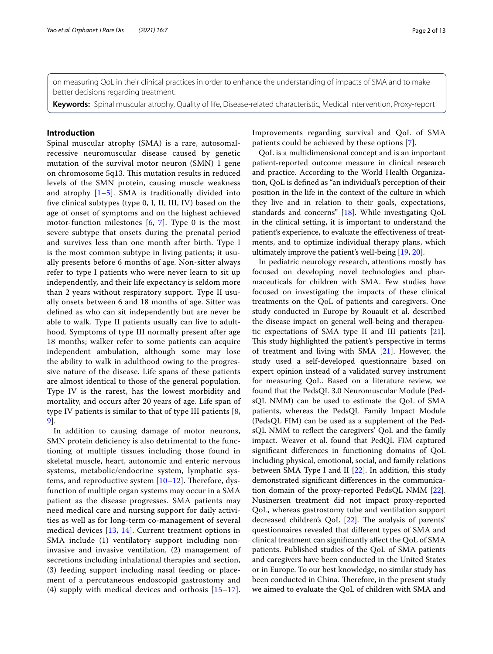on measuring QoL in their clinical practices in order to enhance the understanding of impacts of SMA and to make better decisions regarding treatment.

**Keywords:** Spinal muscular atrophy, Quality of life, Disease-related characteristic, Medical intervention, Proxy-report

# **Introduction**

Spinal muscular atrophy (SMA) is a rare, autosomalrecessive neuromuscular disease caused by genetic mutation of the survival motor neuron (SMN) 1 gene on chromosome 5q13. This mutation results in reduced levels of the SMN protein, causing muscle weakness and atrophy  $[1–5]$  $[1–5]$  $[1–5]$ . SMA is traditionally divided into fve clinical subtypes (type 0, I, II, III, IV) based on the age of onset of symptoms and on the highest achieved motor-function milestones [\[6](#page-11-2), [7](#page-11-3)]. Type 0 is the most severe subtype that onsets during the prenatal period and survives less than one month after birth. Type I is the most common subtype in living patients; it usually presents before 6 months of age. Non-sitter always refer to type I patients who were never learn to sit up independently, and their life expectancy is seldom more than 2 years without respiratory support. Type II usually onsets between 6 and 18 months of age. Sitter was defned as who can sit independently but are never be able to walk. Type II patients usually can live to adulthood. Symptoms of type III normally present after age 18 months; walker refer to some patients can acquire independent ambulation, although some may lose the ability to walk in adulthood owing to the progressive nature of the disease. Life spans of these patients are almost identical to those of the general population. Type IV is the rarest, has the lowest morbidity and mortality, and occurs after 20 years of age. Life span of type IV patients is similar to that of type III patients [\[8](#page-11-4), [9\]](#page-11-5).

In addition to causing damage of motor neurons, SMN protein defciency is also detrimental to the functioning of multiple tissues including those found in skeletal muscle, heart, autonomic and enteric nervous systems, metabolic/endocrine system, lymphatic systems, and reproductive system  $[10-12]$  $[10-12]$ . Therefore, dysfunction of multiple organ systems may occur in a SMA patient as the disease progresses. SMA patients may need medical care and nursing support for daily activities as well as for long-term co-management of several medical devices [[13,](#page-11-8) [14\]](#page-11-9). Current treatment options in SMA include (1) ventilatory support including noninvasive and invasive ventilation, (2) management of secretions including inhalational therapies and section, (3) feeding support including nasal feeding or placement of a percutaneous endoscopid gastrostomy and (4) supply with medical devices and orthosis [[15–](#page-11-10)[17\]](#page-11-11). Improvements regarding survival and QoL of SMA patients could be achieved by these options [[7\]](#page-11-3).

QoL is a multidimensional concept and is an important patient-reported outcome measure in clinical research and practice. According to the World Health Organization, QoL is defned as "an individual's perception of their position in the life in the context of the culture in which they live and in relation to their goals, expectations, standards and concerns" [[18](#page-11-12)]. While investigating QoL in the clinical setting, it is important to understand the patient's experience, to evaluate the efectiveness of treatments, and to optimize individual therapy plans, which ultimately improve the patient's well-being [[19,](#page-11-13) [20](#page-11-14)].

In pediatric neurology research, attentions mostly has focused on developing novel technologies and pharmaceuticals for children with SMA. Few studies have focused on investigating the impacts of these clinical treatments on the QoL of patients and caregivers. One study conducted in Europe by Rouault et al. described the disease impact on general well-being and therapeutic expectations of SMA type II and III patients [\[21](#page-11-15)]. This study highlighted the patient's perspective in terms of treatment and living with SMA [\[21](#page-11-15)]. However, the study used a self-developed questionnaire based on expert opinion instead of a validated survey instrument for measuring QoL. Based on a literature review, we found that the PedsQL 3.0 Neuromuscular Module (PedsQL NMM) can be used to estimate the QoL of SMA patients, whereas the PedsQL Family Impact Module (PedsQL FIM) can be used as a supplement of the PedsQL NMM to refect the caregivers' QoL and the family impact. Weaver et al. found that PedQL FIM captured signifcant diferences in functioning domains of QoL including physical, emotional, social, and family relations between SMA Type I and II [\[22](#page-11-16)]. In addition, this study demonstrated signifcant diferences in the communication domain of the proxy-reported PedsQL NMM [\[22](#page-11-16)]. Nusinersen treatment did not impact proxy-reported QoL, whereas gastrostomy tube and ventilation support decreased children's QoL  $[22]$  $[22]$  $[22]$ . The analysis of parents' questionnaires revealed that diferent types of SMA and clinical treatment can signifcantly afect the QoL of SMA patients. Published studies of the QoL of SMA patients and caregivers have been conducted in the United States or in Europe. To our best knowledge, no similar study has been conducted in China. Therefore, in the present study we aimed to evaluate the QoL of children with SMA and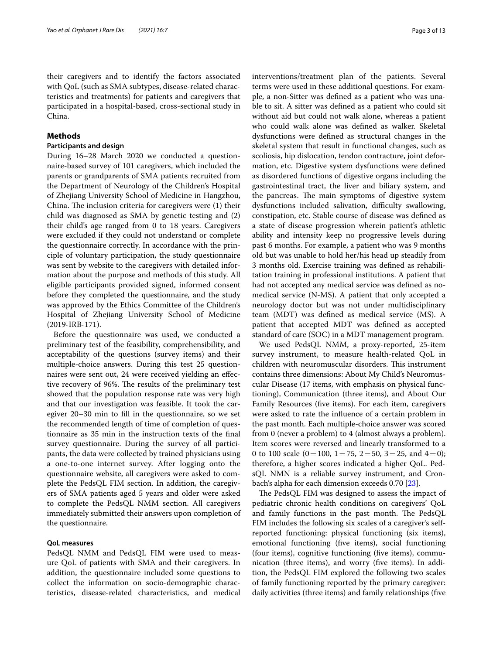their caregivers and to identify the factors associated with QoL (such as SMA subtypes, disease-related characteristics and treatments) for patients and caregivers that participated in a hospital-based, cross-sectional study in China.

# **Methods**

# **Participants and design**

During 16–28 March 2020 we conducted a questionnaire-based survey of 101 caregivers, which included the parents or grandparents of SMA patients recruited from the Department of Neurology of the Children's Hospital of Zhejiang University School of Medicine in Hangzhou, China. The inclusion criteria for caregivers were  $(1)$  their child was diagnosed as SMA by genetic testing and (2) their child's age ranged from 0 to 18 years. Caregivers were excluded if they could not understand or complete the questionnaire correctly. In accordance with the principle of voluntary participation, the study questionnaire was sent by website to the caregivers with detailed information about the purpose and methods of this study. All eligible participants provided signed, informed consent before they completed the questionnaire, and the study was approved by the Ethics Committee of the Children's Hospital of Zhejiang University School of Medicine (2019-IRB-171).

Before the questionnaire was used, we conducted a preliminary test of the feasibility, comprehensibility, and acceptability of the questions (survey items) and their multiple-choice answers. During this test 25 questionnaires were sent out, 24 were received yielding an efective recovery of 96%. The results of the preliminary test showed that the population response rate was very high and that our investigation was feasible. It took the caregiver 20–30 min to fll in the questionnaire, so we set the recommended length of time of completion of questionnaire as 35 min in the instruction texts of the fnal survey questionnaire. During the survey of all participants, the data were collected by trained physicians using a one-to-one internet survey. After logging onto the questionnaire website, all caregivers were asked to complete the PedsQL FIM section. In addition, the caregivers of SMA patients aged 5 years and older were asked to complete the PedsQL NMM section. All caregivers immediately submitted their answers upon completion of the questionnaire.

# **QoL measures**

PedsQL NMM and PedsQL FIM were used to measure QoL of patients with SMA and their caregivers. In addition, the questionnaire included some questions to collect the information on socio-demographic characteristics, disease-related characteristics, and medical interventions/treatment plan of the patients. Several terms were used in these additional questions. For example, a non-Sitter was defned as a patient who was unable to sit. A sitter was defned as a patient who could sit without aid but could not walk alone, whereas a patient who could walk alone was defned as walker. Skeletal dysfunctions were defned as structural changes in the skeletal system that result in functional changes, such as scoliosis, hip dislocation, tendon contracture, joint deformation, etc. Digestive system dysfunctions were defned as disordered functions of digestive organs including the gastrointestinal tract, the liver and biliary system, and the pancreas. The main symptoms of digestive system dysfunctions included salivation, difficulty swallowing, constipation, etc. Stable course of disease was defned as a state of disease progression wherein patient's athletic ability and intensity keep no progressive levels during past 6 months. For example, a patient who was 9 months old but was unable to hold her/his head up steadily from 3 months old. Exercise training was defned as rehabilitation training in professional institutions. A patient that had not accepted any medical service was defned as nomedical service (N-MS). A patient that only accepted a neurology doctor but was not under multidisciplinary team (MDT) was defned as medical service (MS). A patient that accepted MDT was defned as accepted standard of care (SOC) in a MDT management program.

We used PedsQL NMM, a proxy-reported, 25-item survey instrument, to measure health-related QoL in children with neuromuscular disorders. This instrument contains three dimensions: About My Child's Neuromuscular Disease (17 items, with emphasis on physical functioning), Communication (three items), and About Our Family Resources (fve items). For each item, caregivers were asked to rate the infuence of a certain problem in the past month. Each multiple-choice answer was scored from 0 (never a problem) to 4 (almost always a problem). Item scores were reversed and linearly transformed to a 0 to 100 scale  $(0=100, 1=75, 2=50, 3=25, \text{ and } 4=0);$ therefore, a higher scores indicated a higher QoL. PedsQL NMN is a reliable survey instrument, and Cronbach's alpha for each dimension exceeds 0.70 [[23\]](#page-11-17).

The PedsQL FIM was designed to assess the impact of pediatric chronic health conditions on caregivers' QoL and family functions in the past month. The PedsQL FIM includes the following six scales of a caregiver's selfreported functioning: physical functioning (six items), emotional functioning (fve items), social functioning (four items), cognitive functioning (fve items), communication (three items), and worry (fve items). In addition, the PedsQL FIM explored the following two scales of family functioning reported by the primary caregiver: daily activities (three items) and family relationships (fve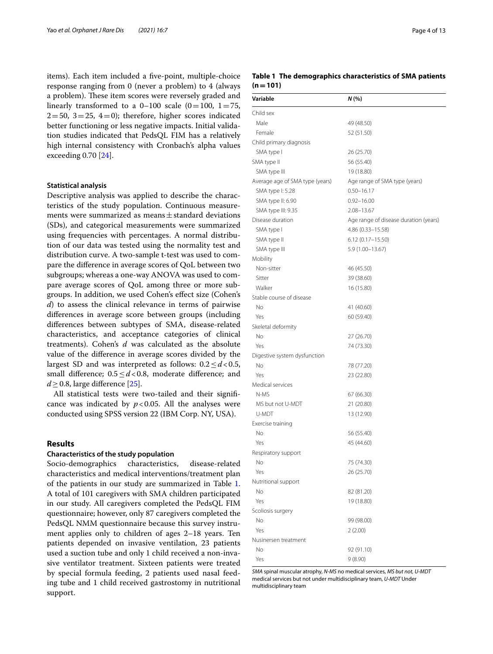items). Each item included a fve-point, multiple-choice response ranging from 0 (never a problem) to 4 (always a problem). These item scores were reversely graded and linearly transformed to a  $0-100$  scale  $(0=100, 1=75,$  $2=50$ ,  $3=25$ ,  $4=0$ ); therefore, higher scores indicated better functioning or less negative impacts. Initial validation studies indicated that PedsQL FIM has a relatively high internal consistency with Cronbach's alpha values exceeding 0.70 [\[24\]](#page-11-18).

### **Statistical analysis**

Descriptive analysis was applied to describe the characteristics of the study population. Continuous measurements were summarized as means±standard deviations (SDs), and categorical measurements were summarized using frequencies with percentages. A normal distribution of our data was tested using the normality test and distribution curve. A two-sample t-test was used to compare the diference in average scores of QoL between two subgroups; whereas a one-way ANOVA was used to compare average scores of QoL among three or more subgroups. In addition, we used Cohen's efect size (Cohen's *d*) to assess the clinical relevance in terms of pairwise diferences in average score between groups (including diferences between subtypes of SMA, disease-related characteristics, and acceptance categories of clinical treatments). Cohen's *d* was calculated as the absolute value of the diference in average scores divided by the largest SD and was interpreted as follows: 0.2≤*d*<0.5, small diference; 0.5≤*d*<0.8, moderate diference; and  $d$  > 0.8, large difference [[25](#page-11-19)].

All statistical tests were two-tailed and their signifcance was indicated by  $p < 0.05$ . All the analyses were conducted using SPSS version 22 (IBM Corp. NY, USA).

# **Results**

## **Characteristics of the study population**

Socio-demographics characteristics, disease-related characteristics and medical interventions/treatment plan of the patients in our study are summarized in Table [1](#page-3-0). A total of 101 caregivers with SMA children participated in our study. All caregivers completed the PedsQL FIM questionnaire; however, only 87 caregivers completed the PedsQL NMM questionnaire because this survey instrument applies only to children of ages 2–18 years. Ten patients depended on invasive ventilation, 23 patients used a suction tube and only 1 child received a non-invasive ventilator treatment. Sixteen patients were treated by special formula feeding, 2 patients used nasal feeding tube and 1 child received gastrostomy in nutritional support.

<span id="page-3-0"></span>

|           | Table 1 The demographics characteristics of SMA patients |  |  |
|-----------|----------------------------------------------------------|--|--|
| $(n=101)$ |                                                          |  |  |

| Variable                        | N (%)                                 |
|---------------------------------|---------------------------------------|
| Child sex                       |                                       |
| Male                            | 49 (48.50)                            |
| Female                          | 52 (51.50)                            |
| Child primary diagnosis         |                                       |
| SMA type I                      | 26 (25.70)                            |
| SMA type II                     | 56 (55.40)                            |
| SMA type III                    | 19 (18.80)                            |
| Average age of SMA type (years) | Age range of SMA type (years)         |
| SMA type I: 5.28                | $0.50 - 16.17$                        |
| SMA type II: 6.90               | $0.92 - 16.00$                        |
| SMA type III: 9.35              | $2.08 - 13.67$                        |
| Disease duration                | Age range of disease duration (years) |
| SMA type I                      | 4.86 (0.33-15.58)                     |
| SMA type II                     | 6.12 (0.17-15.50)                     |
| SMA type III                    | 5.9 (1.00-13.67)                      |
| Mobility                        |                                       |
| Non-sitter                      | 46 (45.50)                            |
| Sitter                          | 39 (38.60)                            |
| Walker                          | 16 (15.80)                            |
| Stable course of disease        |                                       |
| No                              | 41 (40.60)                            |
| Yes                             | 60 (59.40)                            |
| Skeletal deformity              |                                       |
| No                              | 27 (26.70)                            |
| Yes                             | 74 (73.30)                            |
| Digestive system dysfunction    |                                       |
| No                              | 78 (77.20)                            |
| Yes                             | 23 (22.80)                            |
| Medical services                |                                       |
| N-MS                            | 67 (66.30)                            |
| MS but not U-MDT                | 21 (20.80)                            |
| U-MDT                           | 13 (12.90)                            |
| Exercise training               |                                       |
| Νo                              | 56 (55.40)                            |
| Yes                             | 45 (44.60)                            |
| Respiratory support             |                                       |
| No                              | 75 (74.30)                            |
| Yes                             | 26 (25.70)                            |
| Nutritional support             |                                       |
| No                              | 82 (81.20)                            |
| Yes                             | 19 (18.80)                            |
| Scoliosis surgery               |                                       |
| No                              | 99 (98.00)                            |
| Yes                             | 2(2.00)                               |
| Nusinersen treatment            |                                       |
| No                              | 92 (91.10)                            |
| Yes                             | 9(8.90)                               |

*SMA* spinal muscular atrophy, *N-MS* no medical services, *MS but not, U-MDT* medical services but not under multidisciplinary team, *U-MDT* Under multidisciplinary team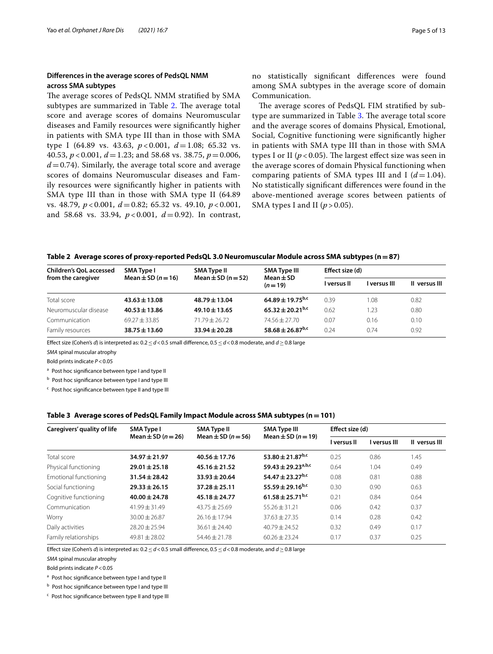# **Diferences in the average scores of PedsQL NMM across SMA subtypes**

The average scores of PedsQL NMM stratified by SMA subtypes are summarized in Table [2.](#page-4-0) The average total score and average scores of domains Neuromuscular diseases and Family resources were signifcantly higher in patients with SMA type III than in those with SMA type I (64.89 vs. 43.63, *p* < 0.001, *d*=1.08; 65.32 vs. 40.53, *p* < 0.001, *d*=1.23; and 58.68 vs. 38.75, *p*=0.006,  $d = 0.74$ ). Similarly, the average total score and average scores of domains Neuromuscular diseases and Family resources were signifcantly higher in patients with SMA type III than in those with SMA type II (64.89 vs. 48.79, *p* < 0.001, *d*=0.82; 65.32 vs. 49.10, *p* < 0.001, and 58.68 vs. 33.94, *p* < 0.001, *d*=0.92). In contrast, no statistically signifcant diferences were found among SMA subtypes in the average score of domain Communication.

The average scores of PedsQL FIM stratified by sub-type are summarized in Table [3](#page-4-1). The average total score and the average scores of domains Physical, Emotional, Social, Cognitive functioning were signifcantly higher in patients with SMA type III than in those with SMA types I or II ( $p < 0.05$ ). The largest effect size was seen in the average scores of domain Physical functioning when comparing patients of SMA types III and I  $(d=1.04)$ . No statistically signifcant diferences were found in the above-mentioned average scores between patients of SMA types I and II  $(p > 0.05)$ .

## <span id="page-4-0"></span>**Table 2 Average scores of proxy-reported PedsQL 3.0 Neuromuscular Module across SMA subtypes (n=87)**

| <b>Children's QoL accessed</b> | SMA Type I                 | <b>SMA Type II</b>     | <b>SMA Type III</b>          | Effect size (d) |              |               |
|--------------------------------|----------------------------|------------------------|------------------------------|-----------------|--------------|---------------|
| from the caregiver             | Mean $\pm$ SD ( $n = 16$ ) | Mean $\pm$ SD (n = 52) | $Mean \pm SD$<br>$(n=19)$    | I versus II     | l versus III | Il versus III |
| Total score                    | $43.63 \pm 13.08$          | $48.79 \pm 13.04$      | $64.89 + 19.75^{b,c}$        | 0.39            | 1.08         | 0.82          |
| Neuromuscular disease          | $40.53 \pm 13.86$          | $49.10 \pm 13.65$      | $65.32 + 20.21^{b,c}$        | 0.62            | 1.23         | 0.80          |
| Communication                  | $69.27 + 33.85$            | $71.79 + 26.72$        | $74.56 + 27.70$              | 0.07            | 0.16         | 0.10          |
| Family resources               | $38.75 \pm 13.60$          | $33.94 \pm 20.28$      | 58.68 ± 26.87 <sup>b,c</sup> | 0.24            | 0.74         | 0.92          |

Efect size (Cohen's *d*) is interpreted as: 0.2≤*d*<0.5 small diference, 0.5≤*d*<0.8 moderate, and *d*≥0.8 large

*SMA* spinal muscular atrophy

Bold prints indicate *P*<0.05

<sup>a</sup> Post hoc significance between type I and type II

b Post hoc significance between type I and type III

<sup>c</sup> Post hoc signifcance between type II and type III

### <span id="page-4-1"></span>**Table 3 Average scores of PedsQL Family Impact Module across SMA subtypes (n=101)**

| Caregivers' quality of life | <b>SMA Type I</b>          | <b>SMA Type II</b>         | <b>SMA Type III</b>            | Effect size (d) |              |               |
|-----------------------------|----------------------------|----------------------------|--------------------------------|-----------------|--------------|---------------|
|                             | Mean $\pm$ SD ( $n = 26$ ) | Mean $\pm$ SD ( $n = 56$ ) | Mean $\pm$ SD ( $n = 19$ )     | I versus II     | I versus III | Il versus III |
| Total score                 | $34.97 \pm 21.97$          | $40.56 \pm 17.76$          | 53.80 ± 21.87 <sup>b,c</sup>   | 0.25            | 0.86         | 1.45          |
| Physical functioning        | $29.01 \pm 25.18$          | $45.16 \pm 21.52$          | 59.43 ± 29.23 <sup>a,b,c</sup> | 0.64            | 1.04         | 0.49          |
| Emotional functioning       | $31.54 \pm 28.42$          | $33.93 \pm 20.64$          | 54.47 ± 23.27 <sup>b,c</sup>   | 0.08            | 0.81         | 0.88          |
| Social functioning          | $29.33 \pm 26.15$          | $37.28 \pm 25.11$          | 55.59 ± 29.16 <sup>b,c</sup>   | 0.30            | 0.90         | 0.63          |
| Cognitive functioning       | $40.00 \pm 24.78$          | $45.18 \pm 24.77$          | $61.58 \pm 25.71^{b,c}$        | 0.21            | 0.84         | 0.64          |
| Communication               | $41.99 + 31.49$            | $43.75 + 25.69$            | $55.26 + 31.21$                | 0.06            | 0.42         | 0.37          |
| Worry                       | $30.00 \pm 26.87$          | $26.16 \pm 17.94$          | $37.63 \pm 27.35$              | 0.14            | 0.28         | 0.42          |
| Daily activities            | $28.20 \pm 25.94$          | $36.61 + 24.40$            | $40.79 + 24.52$                | 0.32            | 0.49         | 0.17          |
| Family relationships        | $49.81 + 28.02$            | $54.46 + 21.78$            | $60.26 + 23.24$                | 0.17            | 0.37         | 0.25          |

Efect size (Cohen's *d*) is interpreted as: 0.2≤*d*<0.5 small diference, 0.5≤*d*<0.8 moderate, and *d*≥0.8 large

*SMA* spinal muscular atrophy

Bold prints indicate *P*<0.05

a Post hoc significance between type I and type II

**b** Post hoc significance between type I and type III

<sup>c</sup> Post hoc signifcance between type II and type III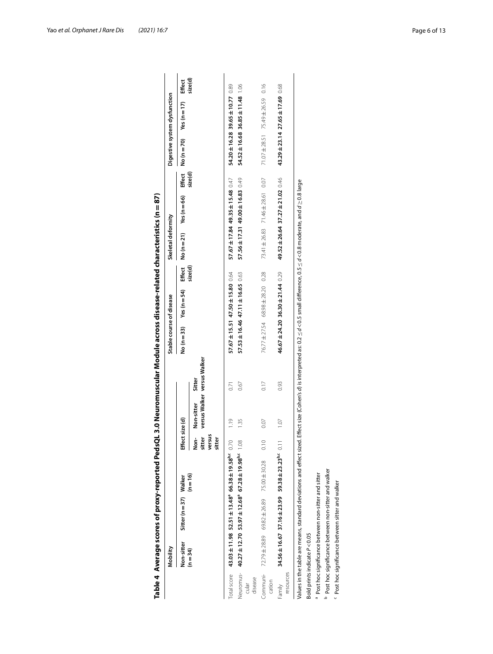|                     |                             | Table 4 Average scores of proxy-reported PedsQL 3.0 Neuromuscular Module across disease-related characteristics (n = 87)                                                                                         |            |                                    |                 |                                       |                                  |                  |         |                    |                                  |         |             |                              |         |
|---------------------|-----------------------------|------------------------------------------------------------------------------------------------------------------------------------------------------------------------------------------------------------------|------------|------------------------------------|-----------------|---------------------------------------|----------------------------------|------------------|---------|--------------------|----------------------------------|---------|-------------|------------------------------|---------|
|                     | Mobility                    |                                                                                                                                                                                                                  |            |                                    |                 |                                       | Stable course of disease         |                  |         | Skeletal deformity |                                  |         |             | Digestive system dysfunction |         |
|                     | Non-sitter                  | Sitter (n = 37) Walker                                                                                                                                                                                           |            | Effect size (d)                    |                 |                                       | $No(n=33)$                       | Yes ( $n = 54$ ) | Effect  | No $(n=21)$        | Yes ( $n = 66$ )                 | Effect  | No $(n=70)$ | Yes ( $n = 17$ )             | Effect  |
|                     | $(n=34)$                    |                                                                                                                                                                                                                  | $(n = 16)$ | versus<br>sitter<br>sitter<br>Non- | Non-sitter      | versus Walker versus Walker<br>Sitter |                                  |                  | size(d) |                    |                                  | size(d) |             |                              | size(d) |
| Total score         |                             | $43.03 \pm 11.98$ $52.51 \pm 13.48^{\circ}$ $66.38 \pm 19.58^{\circ}$ $0.70$                                                                                                                                     |            |                                    | $\frac{6}{119}$ | 55                                    | 57.67 ± 15.51 47.50 ± 15.80 0.64 |                  |         |                    | 57.67 ± 17.84 49.35 ± 15.48 0.47 |         |             | 54.20±16.28 39.65±10.77 0.89 |         |
| disease<br>cular    |                             | Neuromus-40.27±12.70 53.97±12.68° 67.28±19.98° 1.08                                                                                                                                                              |            |                                    | 1.35            | 0.67                                  | 57.53 ± 16.46 47.11 ± 16.65 0.63 |                  |         |                    | 57.56±17.31 49.00±16.83 0.49     |         |             | 54.52±16.68 36.85±11.48 1.06 |         |
| cation              |                             | Communi- 72.79±28.89 69.82±26.89 75.00±30.28                                                                                                                                                                     |            | 0.10                               | 0.07            | 0.17                                  | 76.77 ± 27.54 68.98 ± 28.20 0.28 |                  |         |                    | 73.41 ±26.83 71.46 ± 28.61 0.07  |         |             | 71.07 ± 28.51 75.49 ± 26.59  | 0.16    |
| resources<br>Family |                             | 34.56±16.67 37.16±23.99 59.38±23.23 <sup>b,c</sup> 0.11                                                                                                                                                          |            |                                    | 107             | 0.93                                  | 46.67 ± 24.20 36.30 ± 21.44 0.29 |                  |         |                    | 49.52 ± 26.64 37.27 ± 21.02 0.46 |         |             | 43.29±23.14 27.65±17.69 0.68 |         |
|                     |                             | Values in the table are means, standard deviations and effect sized. Effect size (Cohen's <i>d</i> ) is interpreted as: 0.2 $\leq$ d < 0.5 small difference, 0.5 $\leq$ d < 0.8 moderate, and d $\geq$ 0.8 large |            |                                    |                 |                                       |                                  |                  |         |                    |                                  |         |             |                              |         |
|                     | Bold prints indicate P<0.05 |                                                                                                                                                                                                                  |            |                                    |                 |                                       |                                  |                  |         |                    |                                  |         |             |                              |         |
|                     |                             | a Post hoc significance between non-sitter and sitter                                                                                                                                                            |            |                                    |                 |                                       |                                  |                  |         |                    |                                  |         |             |                              |         |
|                     |                             | <sup>b</sup> Post hoc significance between non-sitter and walker                                                                                                                                                 |            |                                    |                 |                                       |                                  |                  |         |                    |                                  |         |             |                              |         |
|                     |                             | Post hoc significance between sitter and walker                                                                                                                                                                  |            |                                    |                 |                                       |                                  |                  |         |                    |                                  |         |             |                              |         |

<span id="page-5-0"></span>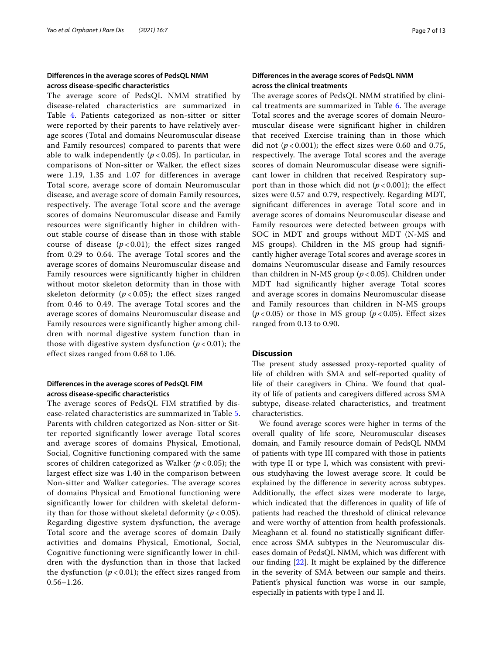# **Diferences in the average scores of PedsQL NMM across disease-specifc characteristics**

The average score of PedsQL NMM stratified by disease-related characteristics are summarized in Table [4](#page-5-0). Patients categorized as non-sitter or sitter were reported by their parents to have relatively average scores (Total and domains Neuromuscular disease and Family resources) compared to parents that were able to walk independently  $(p < 0.05)$ . In particular, in comparisons of Non-sitter or Walker, the effect sizes were 1.19, 1.35 and 1.07 for differences in average Total score, average score of domain Neuromuscular disease, and average score of domain Family resources, respectively. The average Total score and the average scores of domains Neuromuscular disease and Family resources were significantly higher in children without stable course of disease than in those with stable course of disease  $(p<0.01)$ ; the effect sizes ranged from 0.29 to 0.64. The average Total scores and the average scores of domains Neuromuscular disease and Family resources were significantly higher in children without motor skeleton deformity than in those with skeleton deformity ( $p < 0.05$ ); the effect sizes ranged from 0.46 to 0.49. The average Total scores and the average scores of domains Neuromuscular disease and Family resources were significantly higher among children with normal digestive system function than in those with digestive system dysfunction (*p* < 0.01); the effect sizes ranged from 0.68 to 1.06.

# **Diferences in the average scores of PedsQL FIM across disease-specifc characteristics**

The average scores of PedsQL FIM stratified by disease-related characteristics are summarized in Table [5](#page-7-0). Parents with children categorized as Non-sitter or Sitter reported significantly lower average Total scores and average scores of domains Physical, Emotional, Social, Cognitive functioning compared with the same scores of children categorized as Walker *(p* < 0.05); the largest effect size was 1.40 in the comparison between Non-sitter and Walker categories. The average scores of domains Physical and Emotional functioning were significantly lower for children with skeletal deformity than for those without skeletal deformity (*p* < 0.05). Regarding digestive system dysfunction, the average Total score and the average scores of domain Daily activities and domains Physical, Emotional, Social, Cognitive functioning were significantly lower in children with the dysfunction than in those that lacked the dysfunction  $(p < 0.01)$ ; the effect sizes ranged from 0.56–1.26.

# **Diferences in the average scores of PedsQL NMM across the clinical treatments**

The average scores of PedsQL NMM stratified by clini-cal treatments are summarized in Table [6.](#page-8-0) The average Total scores and the average scores of domain Neuromuscular disease were signifcant higher in children that received Exercise training than in those which did not  $(p<0.001)$ ; the effect sizes were 0.60 and 0.75, respectively. The average Total scores and the average scores of domain Neuromuscular disease were signifcant lower in children that received Respiratory support than in those which did not  $(p<0.001)$ ; the effect sizes were 0.57 and 0.79, respectively. Regarding MDT, signifcant diferences in average Total score and in average scores of domains Neuromuscular disease and Family resources were detected between groups with SOC in MDT and groups without MDT (N-MS and MS groups). Children in the MS group had signifcantly higher average Total scores and average scores in domains Neuromuscular disease and Family resources than children in N-MS group (*p* < 0.05). Children under MDT had signifcantly higher average Total scores and average scores in domains Neuromuscular disease and Family resources than children in N-MS groups ( $p$  < 0.05) or those in MS group ( $p$  < 0.05). Effect sizes ranged from 0.13 to 0.90.

# **Discussion**

The present study assessed proxy-reported quality of life of children with SMA and self-reported quality of life of their caregivers in China. We found that quality of life of patients and caregivers difered across SMA subtype, disease-related characteristics, and treatment characteristics.

We found average scores were higher in terms of the overall quality of life score, Neuromuscular diseases domain, and Family resource domain of PedsQL NMM of patients with type III compared with those in patients with type II or type I, which was consistent with previous studyhaving the lowest average score. It could be explained by the diference in severity across subtypes. Additionally, the effect sizes were moderate to large, which indicated that the diferences in quality of life of patients had reached the threshold of clinical relevance and were worthy of attention from health professionals. Meaghann et al*.* found no statistically signifcant diference across SMA subtypes in the Neuromuscular diseases domain of PedsQL NMM, which was diferent with our fnding [[22](#page-11-16)]. It might be explained by the diference in the severity of SMA between our sample and theirs. Patient's physical function was worse in our sample, especially in patients with type I and II.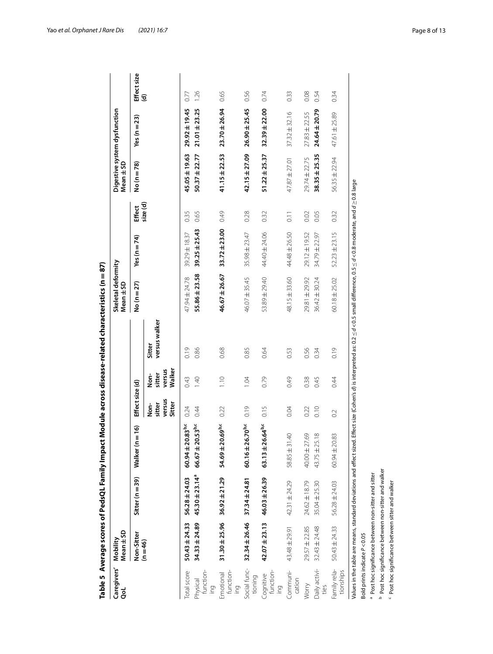|                               |                                                 |                                                                  | Table 5 Average scores of PedsQL Family Impact Module across disease-related characteristics (n $=$ 87)                                                                                                  |                                    |                                    |                         |                                 |                   |                    |                   |                              |                    |
|-------------------------------|-------------------------------------------------|------------------------------------------------------------------|----------------------------------------------------------------------------------------------------------------------------------------------------------------------------------------------------------|------------------------------------|------------------------------------|-------------------------|---------------------------------|-------------------|--------------------|-------------------|------------------------------|--------------------|
| Caregivers'<br>ತ              | Mean ± SD<br>Mobility                           |                                                                  |                                                                                                                                                                                                          |                                    |                                    |                         | Skeletal deformity<br>Mean ± SD |                   |                    | Mean ± SD         | Digestive system dysfunction |                    |
|                               | Non-Sitter                                      | Sitter ( $n = 39$ )                                              | $\overline{6}$<br>$\mathbf I$<br>Walker (n                                                                                                                                                               | Effect size (d)                    |                                    |                         | No (n = 27)                     | Yes (n $=$ 74)    | Effect             | No (n = 78)       | Yes ( $n = 23$ )             | Effect size<br>(d) |
|                               | $(n = 46)$                                      |                                                                  |                                                                                                                                                                                                          | versus<br>Sitter<br>sitter<br>Non- | Walker<br>versus<br>sitter<br>Non- | versus walker<br>Sitter |                                 |                   | size(d)            |                   |                              |                    |
| Total score                   | $50.43 \pm 24.33$                               | $56.28 \pm 24.03$                                                | $60.94 \pm 20.83^{b,c}$                                                                                                                                                                                  | 0.24                               | 0.43                               | 0.19                    | 47.94 ± 24.78                   | 39.29 ± 18.37     | 0.35               | 45.05 ± 19.63     | $29.92 \pm 19.45$            | 0.77               |
| function-<br>Physical<br>loui | $34.33 \pm 24.89$                               | $45.30 \pm 23.14^a$                                              | $66.67 \pm 20.53^{b,c}$                                                                                                                                                                                  | 0.44                               | 1.40                               | 0.86                    | 55.86±23.58                     | $39.25 \pm 25.43$ | 0.65               | $50.37 \pm 22.77$ | $21.01 + 23.25$              | 1.26               |
| function-<br>Emotional<br>ing | $31.30 + 25.96$                                 | $36.92 \pm 21.29$                                                | $54.69 \pm 20.69^{b,c}$                                                                                                                                                                                  | 0.22                               | 1.10                               | 0.68                    | 46.67 ± 26.67                   | $33.72 \pm 23.00$ | 0.49               | $41.15 + 22.53$   | $23.70 \pm 26.94$            | 0.65               |
| Social func-<br>tioning       | $32.34 \pm 26.46$                               | $37.34 \pm 24.81$                                                | $6.70^{b,c}$<br>$60.16 \pm 2$                                                                                                                                                                            | 0.19                               | 1.04                               | 0.85                    | 46.07 ± 35.45                   | 35.98 ± 23.47     | 0.28               | $42.15 \pm 27.09$ | $26.90 \pm 25.45$            | 0.56               |
| function-<br>Cognitive<br>iou | $42.07 \pm 23.13$                               | $46.03 \pm 26.39$                                                | $63.13 \pm 26.64^{b,c}$                                                                                                                                                                                  | 0.15                               | 0.79                               | 0.64                    | 53.89 ± 29.40                   | 44.40 ± 24.06     | 0.32               | $51.22 \pm 25.37$ | $32.39 \pm 22.00$            | 0.74               |
| Communi-<br>cation            | 43.48 ± 29.91                                   | 42.31 ± 24.29                                                    | $\overline{4}$<br>$58.85 \pm 31$                                                                                                                                                                         | 0.04                               | 0.49                               | 0.53                    | 48.15 ± 33.60                   | 44.48 ± 26.50     | $\overline{0}$ . 1 | 47.87 ± 27.01     | $37.32 \pm 32.16$            | 0.33               |
| Worry                         | $29.57 \pm 22.85$                               | 24.62 ± 18.79                                                    | $\mathcal{S}^{\circ}$<br>$40.00 \pm 27$                                                                                                                                                                  | 0.22                               | 0.38                               | 0.56                    | 29.81 ± 29.92                   | 29.12 ± 19.52     | 0.02               | 29.74 ± 22.75     | $27.83 \pm 22.55$            | 0.08               |
| Daily activi-<br>ties         | $32.43 \pm 24.48$                               | 35.04±25.30                                                      | 43.75 ± 25.18                                                                                                                                                                                            | 0.10                               | 0.45                               | 0.34                    | 36.42 ± 30.24                   | 34.79 ± 22.97     | 0.05               | $38.35 \pm 25.35$ | $24.64 \pm 20.79$            | 0.54               |
| Family rela-<br>tionships     | 50.43 ± 24.33                                   | 56.28 ± 24.03                                                    | 83<br>$60.94 \pm 20$                                                                                                                                                                                     | $\sim$                             | 0.44                               | 0.19                    | $60.18 \pm 25.02$               | $52.23 \pm 23.15$ | 0.32               | 56.35 ± 22.94     | 47.61±25.89                  | 0.34               |
|                               |                                                 |                                                                  | Values in the table are means, standard deviations and effect sized. Effect size (Cohen's d) is interpreted as: 0.2 $\leq$ d < 0.5 small difference, 0.5 $\leq$ d < 0.8 moderate, and d $\geq$ 0.8 large |                                    |                                    |                         |                                 |                   |                    |                   |                              |                    |
|                               | Bold prints indicate P<0.05                     | <sup>a</sup> Post hoc significance between non-sitter and sitter |                                                                                                                                                                                                          |                                    |                                    |                         |                                 |                   |                    |                   |                              |                    |
|                               |                                                 | <sup>b</sup> Post hoc significance between non-sitter and walker |                                                                                                                                                                                                          |                                    |                                    |                         |                                 |                   |                    |                   |                              |                    |
|                               | Post hoc significance between sitter and walker |                                                                  |                                                                                                                                                                                                          |                                    |                                    |                         |                                 |                   |                    |                   |                              |                    |

<span id="page-7-0"></span>

Yao *et al. Orphanet J Rare Dis (2021) 16:7* Page 8 of 13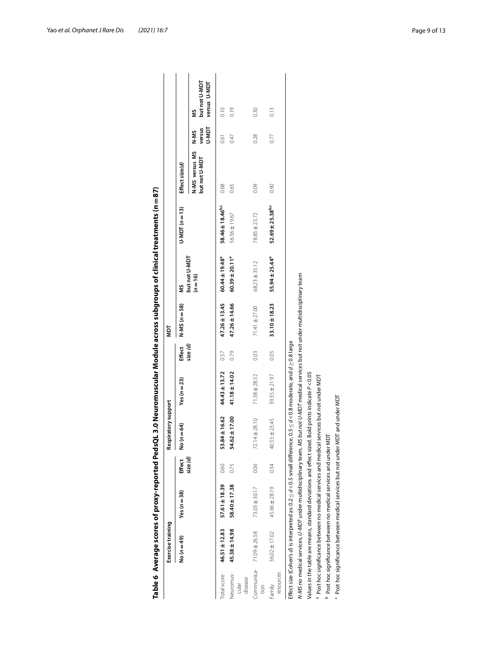|                               |                                                                              |                  |         |                                                                                                                                                    |                   |         |                   |                             | Table 6  Average scores of proxy-reported PedsQL 3.0 Neuromuscular Module across subgroups of clinical treatments (n = 87) |                                 |                         |                                    |
|-------------------------------|------------------------------------------------------------------------------|------------------|---------|----------------------------------------------------------------------------------------------------------------------------------------------------|-------------------|---------|-------------------|-----------------------------|----------------------------------------------------------------------------------------------------------------------------|---------------------------------|-------------------------|------------------------------------|
|                               | Exercise training                                                            |                  |         | Respiratory support                                                                                                                                |                   |         | NDT               |                             |                                                                                                                            |                                 |                         |                                    |
|                               | No $(n=49)$                                                                  | Yes ( $n = 38$ ) | Effect  | No $(n = 64)$                                                                                                                                      | Yes $(n=23)$      | Effect  | $N-MS (n = 58)$   | š                           | $U-MDT(n=13)$                                                                                                              | Effect size(d)                  |                         |                                    |
|                               |                                                                              |                  | size(d) |                                                                                                                                                    |                   | size(d) |                   | but not U-MDT<br>$(n = 16)$ |                                                                                                                            | N-MS versus MS<br>but not U-MDT | versus<br>U-MDT<br>N-MS | but not U-MDT<br>versus U-MDT<br>š |
| Total score                   | 46.51±12.83                                                                  | 57.61 ± 18.39    | 0.60    | 53.84±16.62                                                                                                                                        | $44.43 \pm 13.72$ | 0.57    | 47.26±13.45       | $60.44 \pm 19.48^a$         | $58.46 \pm 18.46^{b,c}$                                                                                                    | 0.68                            | 0.61                    | 0.10                               |
| Neuromus-<br>disease<br>cular | 45.38±14.98                                                                  | 58.40 ± 17.38    | 0.75    | $54.62 \pm 17.00$                                                                                                                                  | 41.18±14.02       | 0.79    | 47.26 ± 14.66     | $60.39 \pm 20.11^a$         | 56.56±19.67                                                                                                                | 0.65                            | 0.47                    | 0.19                               |
| Communica-<br>tion            | 71.09 ± 26.58                                                                | 73.03 ± 30.17    | 0.06    | 72.14±28.10                                                                                                                                        | 71.38 ± 28.52     | 0.03    | 71.41 ± 27.00     | $68.23 \pm 35.12$           | 78.85 ± 23.72                                                                                                              | 0.09                            | 0.28                    | 0.30                               |
| resources<br>Family           | 36.02 ± 17.02                                                                | 45.66 ± 28.19    | 0.34    | 40.55 ± 23.45                                                                                                                                      | $39.35 \pm 21.97$ | 0.05    | $33.10 \pm 18.23$ | $55.94 \pm 25.44^{\circ}$   | $52.69 \pm 25.38^{b,c}$                                                                                                    | 0.90                            | 0.77                    | 0.13                               |
|                               |                                                                              |                  |         | Effect size (Cohen's d) is interpreted as: $0.2 \leq d < 0.5$ small difference, $0.5 \leq d < 0.8$ moderate, and $d \geq 0.8$ large                |                   |         |                   |                             |                                                                                                                            |                                 |                         |                                    |
|                               |                                                                              |                  |         | N-MS no medical services, <i>U-MDT</i> under multidisciplinary team, <i>MS but not U-MDT</i> medical services but not under multidisciplinary team |                   |         |                   |                             |                                                                                                                            |                                 |                         |                                    |
|                               |                                                                              |                  |         | Values in the table are means, standard deviations and effect sized. Bold prints indicate $P < 0.05$                                               |                   |         |                   |                             |                                                                                                                            |                                 |                         |                                    |
|                               |                                                                              |                  |         | a Post hoc significance between no medical services and medical services but not under MDT a                                                       |                   |         |                   |                             |                                                                                                                            |                                 |                         |                                    |
|                               | <sup>9</sup> Post hoc significance between no medical services and under MDT |                  |         |                                                                                                                                                    |                   |         |                   |                             |                                                                                                                            |                                 |                         |                                    |
|                               |                                                                              |                  |         | <sup>c</sup> Post hoc significance between medical services but not under MDT and under MDT                                                        |                   |         |                   |                             |                                                                                                                            |                                 |                         |                                    |

<span id="page-8-0"></span>

| I<br>l |
|--------|
|        |
|        |
|        |
|        |
|        |
|        |
|        |
|        |
|        |
|        |
|        |
|        |
|        |
|        |
|        |
|        |
|        |
|        |
|        |
|        |
|        |
|        |
|        |
|        |
|        |
|        |
|        |
|        |
|        |
|        |
|        |
|        |
|        |
|        |
|        |
|        |
|        |
|        |
|        |
|        |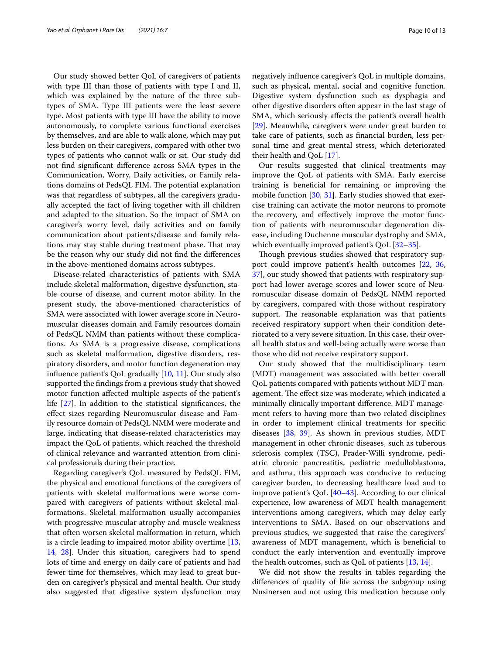Our study showed better QoL of caregivers of patients with type III than those of patients with type I and II, which was explained by the nature of the three subtypes of SMA. Type III patients were the least severe type. Most patients with type III have the ability to move autonomously, to complete various functional exercises by themselves, and are able to walk alone, which may put less burden on their caregivers, compared with other two types of patients who cannot walk or sit. Our study did not fnd signifcant diference across SMA types in the Communication, Worry, Daily activities, or Family relations domains of PedsQL FIM. The potential explanation was that regardless of subtypes, all the caregivers gradually accepted the fact of living together with ill children and adapted to the situation. So the impact of SMA on caregiver's worry level, daily activities and on family communication about patients/disease and family relations may stay stable during treatment phase. That may be the reason why our study did not fnd the diferences in the above-mentioned domains across subtypes.

Disease-related characteristics of patients with SMA include skeletal malformation, digestive dysfunction, stable course of disease, and current motor ability. In the present study, the above-mentioned characteristics of SMA were associated with lower average score in Neuromuscular diseases domain and Family resources domain of PedsQL NMM than patients without these complications. As SMA is a progressive disease, complications such as skeletal malformation, digestive disorders, respiratory disorders, and motor function degeneration may infuence patient's QoL gradually [[10,](#page-11-6) [11](#page-11-20)]. Our study also supported the fndings from a previous study that showed motor function afected multiple aspects of the patient's life [\[27](#page-11-21)]. In addition to the statistical signifcances, the efect sizes regarding Neuromuscular disease and Family resource domain of PedsQL NMM were moderate and large, indicating that disease-related characteristics may impact the QoL of patients, which reached the threshold of clinical relevance and warranted attention from clinical professionals during their practice.

Regarding caregiver's QoL measured by PedsQL FIM, the physical and emotional functions of the caregivers of patients with skeletal malformations were worse compared with caregivers of patients without skeletal malformations. Skeletal malformation usually accompanies with progressive muscular atrophy and muscle weakness that often worsen skeletal malformation in return, which is a circle leading to impaired motor ability overtime [\[13](#page-11-8), [14,](#page-11-9) [28](#page-11-22)]. Under this situation, caregivers had to spend lots of time and energy on daily care of patients and had fewer time for themselves, which may lead to great burden on caregiver's physical and mental health. Our study also suggested that digestive system dysfunction may negatively infuence caregiver's QoL in multiple domains, such as physical, mental, social and cognitive function. Digestive system dysfunction such as dysphagia and other digestive disorders often appear in the last stage of SMA, which seriously afects the patient's overall health [[29\]](#page-11-23). Meanwhile, caregivers were under great burden to take care of patients, such as fnancial burden, less personal time and great mental stress, which deteriorated their health and QoL [[17\]](#page-11-11).

Our results suggested that clinical treatments may improve the QoL of patients with SMA. Early exercise training is benefcial for remaining or improving the mobile function  $[30, 31]$  $[30, 31]$  $[30, 31]$  $[30, 31]$  $[30, 31]$ . Early studies showed that exercise training can activate the motor neurons to promote the recovery, and efectively improve the motor function of patients with neuromuscular degeneration disease, including Duchenne muscular dystrophy and SMA, which eventually improved patient's QoL [[32](#page-12-2)[–35](#page-12-3)].

Though previous studies showed that respiratory support could improve patient's health outcomes [[22,](#page-11-16) [36](#page-12-4), [37\]](#page-12-5), our study showed that patients with respiratory support had lower average scores and lower score of Neuromuscular disease domain of PedsQL NMM reported by caregivers, compared with those without respiratory support. The reasonable explanation was that patients received respiratory support when their condition deteriorated to a very severe situation. In this case, their overall health status and well-being actually were worse than those who did not receive respiratory support.

Our study showed that the multidisciplinary team (MDT) management was associated with better overall QoL patients compared with patients without MDT management. The effect size was moderate, which indicated a minimally clinically important diference. MDT management refers to having more than two related disciplines in order to implement clinical treatments for specifc diseases [\[38](#page-12-6), [39\]](#page-12-7). As shown in previous studies, MDT management in other chronic diseases, such as tuberous sclerosis complex (TSC), Prader-Willi syndrome, pediatric chronic pancreatitis, pediatric medulloblastoma, and asthma, this approach was conducive to reducing caregiver burden, to decreasing healthcare load and to improve patient's QoL [\[40](#page-12-8)[–43\]](#page-12-9). According to our clinical experience, low awareness of MDT health management interventions among caregivers, which may delay early interventions to SMA. Based on our observations and previous studies, we suggested that raise the caregivers' awareness of MDT management, which is benefcial to conduct the early intervention and eventually improve the health outcomes, such as QoL of patients [[13](#page-11-8), [14\]](#page-11-9).

We did not show the results in tables regarding the diferences of quality of life across the subgroup using Nusinersen and not using this medication because only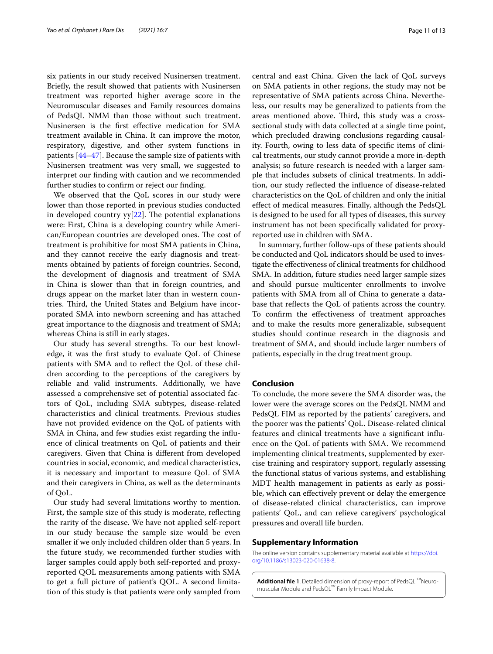six patients in our study received Nusinersen treatment. Briefy, the result showed that patients with Nusinersen treatment was reported higher average score in the Neuromuscular diseases and Family resources domains of PedsQL NMM than those without such treatment. Nusinersen is the frst efective medication for SMA treatment available in China. It can improve the motor, respiratory, digestive, and other system functions in patients [[44–](#page-12-10)[47](#page-12-11)]. Because the sample size of patients with Nusinersen treatment was very small, we suggested to interpret our fnding with caution and we recommended further studies to confrm or reject our fnding.

We observed that the QoL scores in our study were lower than those reported in previous studies conducted in developed country  $yy[22]$  $yy[22]$  $yy[22]$ . The potential explanations were: First, China is a developing country while American/European countries are developed ones. The cost of treatment is prohibitive for most SMA patients in China, and they cannot receive the early diagnosis and treatments obtained by patients of foreign countries. Second, the development of diagnosis and treatment of SMA in China is slower than that in foreign countries, and drugs appear on the market later than in western countries. Third, the United States and Belgium have incorporated SMA into newborn screening and has attached great importance to the diagnosis and treatment of SMA; whereas China is still in early stages.

Our study has several strengths. To our best knowledge, it was the frst study to evaluate QoL of Chinese patients with SMA and to refect the QoL of these children according to the perceptions of the caregivers by reliable and valid instruments. Additionally, we have assessed a comprehensive set of potential associated factors of QoL, including SMA subtypes, disease-related characteristics and clinical treatments. Previous studies have not provided evidence on the QoL of patients with SMA in China, and few studies exist regarding the infuence of clinical treatments on QoL of patients and their caregivers. Given that China is diferent from developed countries in social, economic, and medical characteristics, it is necessary and important to measure QoL of SMA and their caregivers in China, as well as the determinants of QoL.

Our study had several limitations worthy to mention. First, the sample size of this study is moderate, refecting the rarity of the disease. We have not applied self-report in our study because the sample size would be even smaller if we only included children older than 5 years. In the future study, we recommended further studies with larger samples could apply both self-reported and proxyreported QOL measurements among patients with SMA to get a full picture of patient's QOL. A second limitation of this study is that patients were only sampled from central and east China. Given the lack of QoL surveys on SMA patients in other regions, the study may not be representative of SMA patients across China. Nevertheless, our results may be generalized to patients from the areas mentioned above. Third, this study was a crosssectional study with data collected at a single time point, which precluded drawing conclusions regarding causality. Fourth, owing to less data of specifc items of clinical treatments, our study cannot provide a more in-depth analysis; so future research is needed with a larger sample that includes subsets of clinical treatments. In addition, our study refected the infuence of disease-related characteristics on the QoL of children and only the initial efect of medical measures. Finally, although the PedsQL is designed to be used for all types of diseases, this survey instrument has not been specifcally validated for proxyreported use in children with SMA.

In summary, further follow-ups of these patients should be conducted and QoL indicators should be used to investigate the efectiveness of clinical treatments for childhood SMA. In addition, future studies need larger sample sizes and should pursue multicenter enrollments to involve patients with SMA from all of China to generate a database that refects the QoL of patients across the country. To confrm the efectiveness of treatment approaches and to make the results more generalizable, subsequent studies should continue research in the diagnosis and treatment of SMA, and should include larger numbers of patients, especially in the drug treatment group.

# **Conclusion**

To conclude, the more severe the SMA disorder was, the lower were the average scores on the PedsQL NMM and PedsQL FIM as reported by the patients' caregivers, and the poorer was the patients' QoL. Disease-related clinical features and clinical treatments have a signifcant infuence on the QoL of patients with SMA. We recommend implementing clinical treatments, supplemented by exercise training and respiratory support, regularly assessing the functional status of various systems, and establishing MDT health management in patients as early as possible, which can efectively prevent or delay the emergence of disease-related clinical characteristics, can improve patients' QoL, and can relieve caregivers' psychological pressures and overall life burden.

### **Supplementary Information**

The online version contains supplementary material available at [https://doi.](https://doi.org/10.1186/s13023-020-01638-8) [org/10.1186/s13023-020-01638-8](https://doi.org/10.1186/s13023-020-01638-8).

**Additional fle 1**. Detailed dimension of proxy-report of PedsQL ™Neuromuscular Module and PedsQL™ Family Impact Module.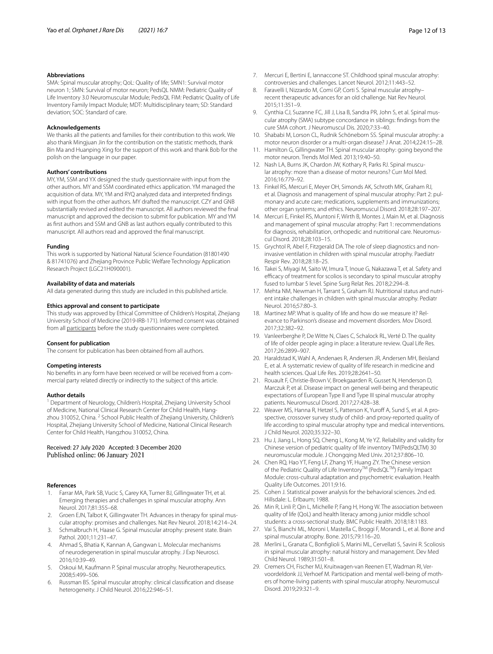#### **Abbreviations**

SMA: Spinal muscular atrophy; QoL: Quality of life; SMN1: Survival motor neuron 1; SMN: Survival of motor neuron; PedsQL NMM: Pediatric Quality of Life Inventory 3.0 Neuromuscular Module; PedsQL FIM: Pediatric Quality of Life Inventory Family Impact Module; MDT: Multidisciplinary team; SD: Standard deviation; SOC: Standard of care.

#### **Acknowledgements**

We thanks all the patients and families for their contribution to this work. We also thank Mingjuan Jin for the contribution on the statistic methods, thank Bin Ma and Huanping Xing for the support of this work and thank Bob for the polish on the language in our paper.

#### **Authors' contributions**

MY, YM, SSM and YX designed the study questionnaire with input from the other authors. MY and SSM coordinated ethics application. YM managed the acquisition of data. MY, YM and RYQ analyzed data and interpreted fndings with input from the other authors. MY drafted the manuscript. CZY and GNB substantially revised and edited the manuscript. All authors reviewed the fnal manuscript and approved the decision to submit for publication. MY and YM as frst authors and SSM and GNB as last authors equally contributed to this manuscript. All authors read and approved the fnal manuscript.

## **Funding**

This work is supported by National Natural Science Foundation (81801490 & 81741076) and Zhejiang Province Public Welfare Technology Application Research Project (LGC21H090001).

# **Availability of data and materials**

All data generated during this study are included in this published article.

#### **Ethics approval and consent to participate**

This study was approved by Ethical Committee of Children's Hospital, Zhejiang University School of Medicine (2019-IRB-171). Informed consent was obtained from all participants before the study questionnaires were completed.

#### **Consent for publication**

The consent for publication has been obtained from all authors.

#### **Competing interests**

No benefts in any form have been received or will be received from a commercial party related directly or indirectly to the subject of this article.

#### **Author details**

<sup>1</sup> Department of Neurology, Children's Hospital, Zhejiang University School of Medicine, National Clinical Research Center for Child Health, Hangzhou 310052, China. <sup>2</sup> School Public Health of Zhejiang University, Children's Hospital, Zhejiang University School of Medicine, National Clinical Research Center for Child Health, Hangzhou 310052, China.

## Received: 27 July 2020 Accepted: 3 December 2020 Published online: 06 January 2021

#### **References**

- <span id="page-11-0"></span>1. Farrar MA, Park SB, Vucic S, Carey KA, Turner BJ, Gillingwater TH, et al. Emerging therapies and challenges in spinal muscular atrophy. Ann Neurol. 2017;81:355–68.
- 2. Groen EJN, Talbot K, Gillingwater TH. Advances in therapy for spinal muscular atrophy: promises and challenges. Nat Rev Neurol. 2018;14:214–24.
- 3. Schmalbruch H, Haase G. Spinal muscular atrophy: present state. Brain Pathol. 2001;11:231–47.
- 4. Ahmad S, Bhatia K, Kannan A, Gangwan L. Molecular mechanisms of neurodegeneration in spinal muscular atrophy. J Exp Neurosci. 2016;10:39–49.
- <span id="page-11-1"></span>5. Oskoui M, Kaufmann P. Spinal muscular atrophy. Neurotherapeutics. 2008;5:499–506.
- <span id="page-11-2"></span>6. Russman BS. Spinal muscular atrophy: clinical classifcation and disease heterogeneity. J Child Neurol. 2016;22:946–51.
- <span id="page-11-3"></span>7. Mercuri E, Bertini E, Iannaccone ST. Childhood spinal muscular atrophy: controversies and challenges. Lancet Neurol. 2012;11:443–52.
- <span id="page-11-4"></span>8. Faravelli I, Nizzardo M, Comi GP, Corti S, Spinal muscular atrophyrecent therapeutic advances for an old challenge. Nat Rev Neurol. 2015;11:351–9.
- <span id="page-11-5"></span>Cynthia CJ, Suzanne FC, Jill J, Lisa B, Sandra PR, John S, et al. Spinal muscular atrophy (SMA) subtype concordance in siblings: fndings from the cure SMA cohort. J Neuromuscul Dis. 2020;7:33–40.
- <span id="page-11-6"></span>10. Shababi M, Lorson CL, Rudnik Schöneborn SS. Spinal muscular atrophy: a motor neuron disorder or a multi-organ disease? J Anat. 2014;224:15–28.
- <span id="page-11-20"></span>11. Hamilton G, Gillingwater TH. Spinal muscular atrophy: going beyond the motor neuron. Trends Mol Med. 2013;19:40–50.
- <span id="page-11-7"></span>12. Nash LA, Burns JK, Chardon JW, Kothary R, Parks RJ. Spinal muscular atrophy: more than a disease of motor neurons? Curr Mol Med. 2016;16:779–92.
- <span id="page-11-8"></span>13. Finkel RS, Mercuri E, Meyer OH, Simonds AK, Schroth MK, Graham RJ, et al. Diagnosis and management of spinal muscular atrophy: Part 2: pulmonary and acute care; medications, supplements and immunizations; other organ systems; and ethics. Neuromuscul Disord. 2018;28:197–207.
- <span id="page-11-9"></span>14. Mercuri E, Finkel RS, Muntoni F, Wirth B, Montes J, Main M, et al. Diagnosis and management of spinal muscular atrophy: Part 1: recommendations for diagnosis, rehabilitation, orthopedic and nutritional care. Neuromuscul Disord. 2018;28:103–15.
- <span id="page-11-10"></span>15. Grychtol R, Abel F, Fitzgerald DA. The role of sleep diagnostics and noninvasive ventilation in children with spinal muscular atrophy. Paediatr Respir Rev. 2018;28:18–25.
- 16. Takei S, Miyagi M, Saito W, Imura T, Inoue G, Nakazawa T, et al. Safety and efficacy of treatment for scolios is secondary to spinal muscular atrophy fused to lumbar 5 level. Spine Surg Relat Res. 2018;2:294–8.
- <span id="page-11-11"></span>17. Mehta NM, Newman H, Tarrant S, Graham RJ. Nutritional status and nutrient intake challenges in children with spinal muscular atrophy. Pediatr Neurol. 2016;57:80–3.
- <span id="page-11-12"></span>18. Martinez MP. What is quality of life and how do we measure it? Relevance to Parkinson's disease and movement disorders. Mov Disord. 2017;32:382–92.
- <span id="page-11-13"></span>19. Vanleerberghe P, De Witte N, Claes C, Schalock RL, Verté D. The quality of life of older people aging in place: a literature review. Qual Life Res. 2017;26:2899–907.
- <span id="page-11-14"></span>20. Haraldstad K, Wahl A, Andenaes R, Andersen JR, Andersen MH, Beisland E, et al. A systematic review of quality of life research in medicine and health sciences. Qual Life Res. 2019;28:2641–50.
- <span id="page-11-15"></span>21. Rouault F, Christie-Brown V, Broekgaarden R, Gusset N, Henderson D, Marczuk P, et al. Disease impact on general well-being and therapeutic expectations of European Type II and Type III spinal muscular atrophy patients. Neuromuscul Disord. 2017;27:428–38.
- <span id="page-11-16"></span>22. Weaver MS, Hanna R, Hetzel S, Patterson K, Yuroff A, Sund S, et al. A prospective, crossover survey study of child- and proxy-reported quality of life according to spinal muscular atrophy type and medical interventions. J Child Neurol. 2020;35:322–30.
- <span id="page-11-17"></span>23. Hu J, Jiang L, Hong SQ, Cheng L, Kong M, Ye YZ. Reliability and validity for Chinese version of pediatric quality of life inventory TM(PedsOLTM) 30 neuromuscular module. J Chongqing Med Univ. 2012;37:806–10.
- <span id="page-11-18"></span>24. Chen RQ, Hao YT, Feng LF, Zhang YF, Huang ZY. The Chinese version of the Pediatric Quality of Life Inventory<sup>TM</sup> (PedsQL<sup>TM</sup>) Family Impact Module: cross-cultural adaptation and psychometric evaluation. Health Quality Life Outcomes. 2011;9:16.
- <span id="page-11-19"></span>25. Cohen J. Statistical power analysis for the behavioral sciences. 2nd ed. Hillsdale: L. Erlbaum; 1988.
- 26. Min R, Linli P, Qin L, Michelle P, Fang H, Hong W. The association between quality of life (QoL) and health literacy among junior middle school students: a cross-sectional study. BMC Public Health. 2018;18:1183.
- <span id="page-11-21"></span>27. Vai S, Bianchi ML, Moroni I, Mastella C, Broggi F, Morandi L, et al. Bone and spinal muscular atrophy. Bone. 2015;79:116–20.
- <span id="page-11-22"></span>28. Merlini L, Granata C, Bonfglioli S, Marini ML, Cervellati S, Savini R. Scoliosis in spinal muscular atrophy: natural history and management. Dev Med Child Neurol. 1989;31:501–8.
- <span id="page-11-23"></span>29. Cremers CH, Fischer MJ, Kruitwagen-van Reenen ET, Wadman RI, Vervoordeldonk JJ, Verhoef M. Participation and mental well-being of mothers of home-living patients with spinal muscular atrophy. Neuromuscul Disord. 2019;29:321–9.